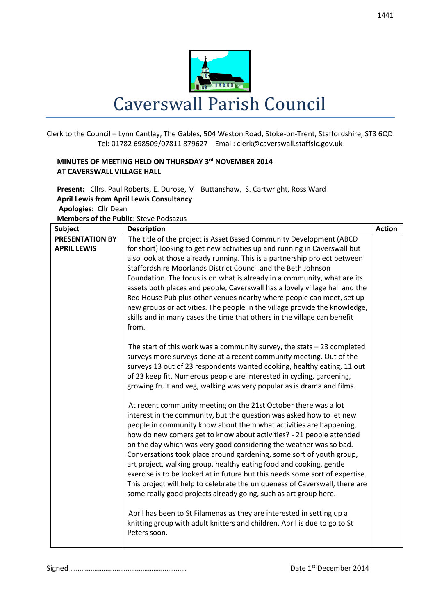

Clerk to the Council – Lynn Cantlay, The Gables, 504 Weston Road, Stoke-on-Trent, Staffordshire, ST3 6QD Tel: 01782 698509/07811 879627 Email: clerk@caverswall.staffslc.gov.uk

## **MINUTES OF MEETING HELD ON THURSDAY 3 rd NOVEMBER 2014 AT CAVERSWALL VILLAGE HALL**

**Present:** Cllrs. Paul Roberts, E. Durose, M. Buttanshaw, S. Cartwright, Ross Ward **April Lewis from April Lewis Consultancy**

**Apologies:** Cllr Dean

**Members of the Public**: Steve Podsazus

| <b>Subject</b>         | <b>Description</b>                                                           | <b>Action</b> |
|------------------------|------------------------------------------------------------------------------|---------------|
| <b>PRESENTATION BY</b> | The title of the project is Asset Based Community Development (ABCD          |               |
| <b>APRIL LEWIS</b>     | for short) looking to get new activities up and running in Caverswall but    |               |
|                        | also look at those already running. This is a partnership project between    |               |
|                        | Staffordshire Moorlands District Council and the Beth Johnson                |               |
|                        | Foundation. The focus is on what is already in a community, what are its     |               |
|                        | assets both places and people, Caverswall has a lovely village hall and the  |               |
|                        | Red House Pub plus other venues nearby where people can meet, set up         |               |
|                        | new groups or activities. The people in the village provide the knowledge,   |               |
|                        | skills and in many cases the time that others in the village can benefit     |               |
|                        | from.                                                                        |               |
|                        |                                                                              |               |
|                        | The start of this work was a community survey, the stats $-23$ completed     |               |
|                        | surveys more surveys done at a recent community meeting. Out of the          |               |
|                        | surveys 13 out of 23 respondents wanted cooking, healthy eating, 11 out      |               |
|                        | of 23 keep fit. Numerous people are interested in cycling, gardening,        |               |
|                        | growing fruit and veg, walking was very popular as is drama and films.       |               |
|                        | At recent community meeting on the 21st October there was a lot              |               |
|                        | interest in the community, but the question was asked how to let new         |               |
|                        | people in community know about them what activities are happening,           |               |
|                        | how do new comers get to know about activities? - 21 people attended         |               |
|                        | on the day which was very good considering the weather was so bad.           |               |
|                        | Conversations took place around gardening, some sort of youth group,         |               |
|                        | art project, walking group, healthy eating food and cooking, gentle          |               |
|                        | exercise is to be looked at in future but this needs some sort of expertise. |               |
|                        | This project will help to celebrate the uniqueness of Caverswall, there are  |               |
|                        | some really good projects already going, such as art group here.             |               |
|                        |                                                                              |               |
|                        | April has been to St Filamenas as they are interested in setting up a        |               |
|                        | knitting group with adult knitters and children. April is due to go to St    |               |
|                        | Peters soon.                                                                 |               |
|                        |                                                                              |               |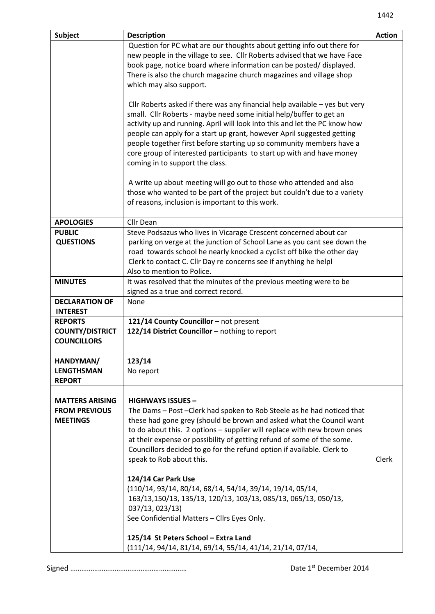|                                                                   | Question for PC what are our thoughts about getting info out there for<br>new people in the village to see. Cllr Roberts advised that we have Face<br>book page, notice board where information can be posted/displayed.                                                                                                                                                                                                                                                                                                                                                                                                                                                                                                                                            |       |
|-------------------------------------------------------------------|---------------------------------------------------------------------------------------------------------------------------------------------------------------------------------------------------------------------------------------------------------------------------------------------------------------------------------------------------------------------------------------------------------------------------------------------------------------------------------------------------------------------------------------------------------------------------------------------------------------------------------------------------------------------------------------------------------------------------------------------------------------------|-------|
|                                                                   | There is also the church magazine church magazines and village shop<br>which may also support.                                                                                                                                                                                                                                                                                                                                                                                                                                                                                                                                                                                                                                                                      |       |
|                                                                   | Cllr Roberts asked if there was any financial help available $-$ yes but very<br>small. Cllr Roberts - maybe need some initial help/buffer to get an<br>activity up and running. April will look into this and let the PC know how<br>people can apply for a start up grant, however April suggested getting<br>people together first before starting up so community members have a<br>core group of interested participants to start up with and have money<br>coming in to support the class.                                                                                                                                                                                                                                                                    |       |
|                                                                   | A write up about meeting will go out to those who attended and also<br>those who wanted to be part of the project but couldn't due to a variety<br>of reasons, inclusion is important to this work.                                                                                                                                                                                                                                                                                                                                                                                                                                                                                                                                                                 |       |
| <b>APOLOGIES</b>                                                  | Cllr Dean                                                                                                                                                                                                                                                                                                                                                                                                                                                                                                                                                                                                                                                                                                                                                           |       |
| <b>PUBLIC</b><br><b>QUESTIONS</b>                                 | Steve Podsazus who lives in Vicarage Crescent concerned about car<br>parking on verge at the junction of School Lane as you cant see down the<br>road towards school he nearly knocked a cyclist off bike the other day<br>Clerk to contact C. Cllr Day re concerns see if anything he helpl<br>Also to mention to Police.                                                                                                                                                                                                                                                                                                                                                                                                                                          |       |
| <b>MINUTES</b>                                                    | It was resolved that the minutes of the previous meeting were to be<br>signed as a true and correct record.                                                                                                                                                                                                                                                                                                                                                                                                                                                                                                                                                                                                                                                         |       |
| <b>DECLARATION OF</b><br><b>INTEREST</b>                          | None                                                                                                                                                                                                                                                                                                                                                                                                                                                                                                                                                                                                                                                                                                                                                                |       |
| <b>REPORTS</b><br><b>COUNTY/DISTRICT</b><br><b>COUNCILLORS</b>    | 121/14 County Councillor - not present<br>122/14 District Councillor - nothing to report                                                                                                                                                                                                                                                                                                                                                                                                                                                                                                                                                                                                                                                                            |       |
| HANDYMAN/<br><b>LENGTHSMAN</b><br><b>REPORT</b>                   | 123/14<br>No report                                                                                                                                                                                                                                                                                                                                                                                                                                                                                                                                                                                                                                                                                                                                                 |       |
| <b>MATTERS ARISING</b><br><b>FROM PREVIOUS</b><br><b>MEETINGS</b> | <b>HIGHWAYS ISSUES -</b><br>The Dams - Post - Clerk had spoken to Rob Steele as he had noticed that<br>these had gone grey (should be brown and asked what the Council want<br>to do about this. 2 options - supplier will replace with new brown ones<br>at their expense or possibility of getting refund of some of the some.<br>Councillors decided to go for the refund option if available. Clerk to<br>speak to Rob about this.<br>124/14 Car Park Use<br>(110/14, 93/14, 80/14, 68/14, 54/14, 39/14, 19/14, 05/14,<br>163/13,150/13, 135/13, 120/13, 103/13, 085/13, 065/13, 050/13,<br>037/13, 023/13)<br>See Confidential Matters - Cllrs Eyes Only.<br>125/14 St Peters School - Extra Land<br>(111/14, 94/14, 81/14, 69/14, 55/14, 41/14, 21/14, 07/14, | Clerk |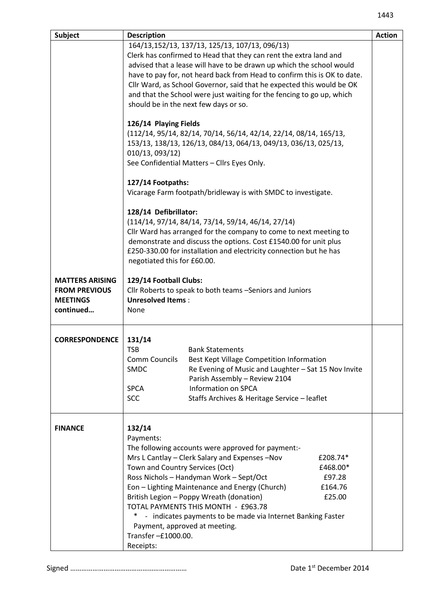| Subject                                                                        | <b>Description</b>                                                                                                                                                                                                                                                                                                                                                                                                                                                                                                                             | <b>Action</b> |
|--------------------------------------------------------------------------------|------------------------------------------------------------------------------------------------------------------------------------------------------------------------------------------------------------------------------------------------------------------------------------------------------------------------------------------------------------------------------------------------------------------------------------------------------------------------------------------------------------------------------------------------|---------------|
|                                                                                | 164/13,152/13, 137/13, 125/13, 107/13, 096/13)<br>Clerk has confirmed to Head that they can rent the extra land and<br>advised that a lease will have to be drawn up which the school would<br>have to pay for, not heard back from Head to confirm this is OK to date.<br>Cllr Ward, as School Governor, said that he expected this would be OK<br>and that the School were just waiting for the fencing to go up, which<br>should be in the next few days or so.                                                                             |               |
|                                                                                | 126/14 Playing Fields<br>(112/14, 95/14, 82/14, 70/14, 56/14, 42/14, 22/14, 08/14, 165/13,<br>153/13, 138/13, 126/13, 084/13, 064/13, 049/13, 036/13, 025/13,<br>010/13, 093/12)<br>See Confidential Matters - Cllrs Eyes Only.                                                                                                                                                                                                                                                                                                                |               |
|                                                                                | 127/14 Footpaths:<br>Vicarage Farm footpath/bridleway is with SMDC to investigate.                                                                                                                                                                                                                                                                                                                                                                                                                                                             |               |
|                                                                                | 128/14 Defibrillator:<br>$(114/14, 97/14, 84/14, 73/14, 59/14, 46/14, 27/14)$<br>Cllr Ward has arranged for the company to come to next meeting to<br>demonstrate and discuss the options. Cost £1540.00 for unit plus<br>£250-330.00 for installation and electricity connection but he has<br>negotiated this for £60.00.                                                                                                                                                                                                                    |               |
| <b>MATTERS ARISING</b><br><b>FROM PREVIOUS</b><br><b>MEETINGS</b><br>continued | 129/14 Football Clubs:<br>Cllr Roberts to speak to both teams -Seniors and Juniors<br><b>Unresolved Items:</b><br>None                                                                                                                                                                                                                                                                                                                                                                                                                         |               |
| <b>CORRESPONDENCE</b>                                                          | 131/14<br><b>TSB</b><br><b>Bank Statements</b><br><b>Comm Councils</b><br>Best Kept Village Competition Information<br>Re Evening of Music and Laughter - Sat 15 Nov Invite<br>SMDC<br>Parish Assembly - Review 2104<br><b>Information on SPCA</b><br><b>SPCA</b><br><b>SCC</b><br>Staffs Archives & Heritage Service - leaflet                                                                                                                                                                                                                |               |
| <b>FINANCE</b>                                                                 | 132/14<br>Payments:<br>The following accounts were approved for payment:-<br>Mrs L Cantlay - Clerk Salary and Expenses - Nov<br>£208.74*<br>Town and Country Services (Oct)<br>£468.00*<br>Ross Nichols - Handyman Work - Sept/Oct<br>£97.28<br>Eon - Lighting Maintenance and Energy (Church)<br>£164.76<br>British Legion - Poppy Wreath (donation)<br>£25.00<br>TOTAL PAYMENTS THIS MONTH - £963.78<br>∗<br>- indicates payments to be made via Internet Banking Faster<br>Payment, approved at meeting.<br>Transfer-£1000.00.<br>Receipts: |               |

Signed ……………………………………………………… Date 1